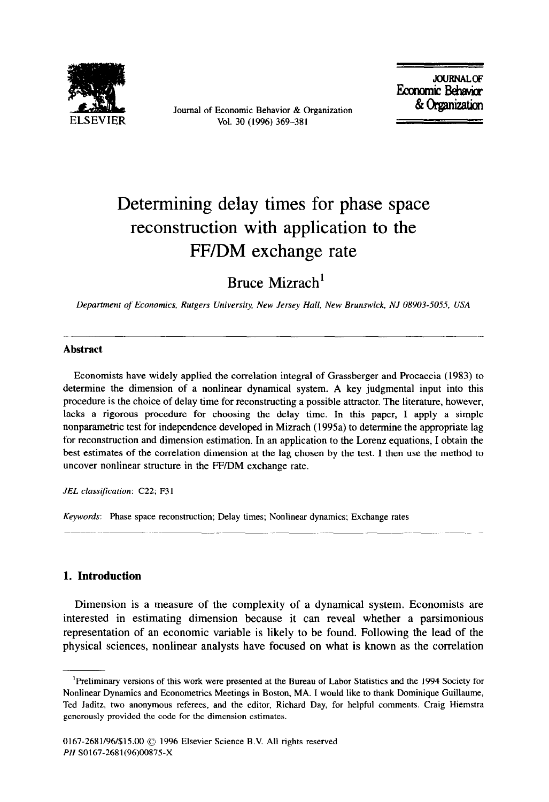

Journal of Economic Behavior & Organization Vol. 30 (1996) 369-381

JOURNAL OF<br>Economic Behavior & Organization

# Determining delay times for phase space reconstruction with application to the FF/DM exchange rate

Bruce Mizrach'

*Deparfment of Economics, Rutgers University, New Jersey Hall, New Brunswick, NJ 08903-5055, USA* 

## **Abstract**

Economists have widely applied the correlation integral of Grassberger and Procaccia (1983) to determine the dimension of a nonlinear dynamical system. A key judgmental input into this procedure is the choice of delay time for reconstructing a possible attractor. The literature, however, lacks a rigorous procedure for choosing the delay time. In this paper, I apply a simple nonparametric test for independence developed in Mizrach (1995a) to determine the appropriate lag for reconstruction and dimension estimation. In an application to the Lorenz equations, I obtain the best estimates of the correlation dimension at the lag chosen by the test. I then use the method to uncover nonlinear structure in the FF/DM exchange rate.

*JEL classification: C22; F3 1* 

Keywords: Phase space reconstruction; Delay times; Nonlinear dynamics; Exchange rates

## **1. Introduction**

Dimension is a measure of the complexity of a dynamical system. Economists are interested in estimating dimension because it can reveal whether a parsimonious representation of an economic variable is likely to be found. Following the lead of the physical sciences, nonlinear analysts have focused on what is known as the correlation

<sup>&#</sup>x27;Preliminary versions of this work were presented at the Bureau of Labor Statistics and the 1994 Society for Nonlinear Dynamics and Econometrics Meetings in Boston, MA. I would like to thank Dominique Guillaume, Ted Jaditz, two anonymous referees, and the editor, Richard Day, for helpful comments. Craig Hiemstra generously provided the code for the dimension estimates.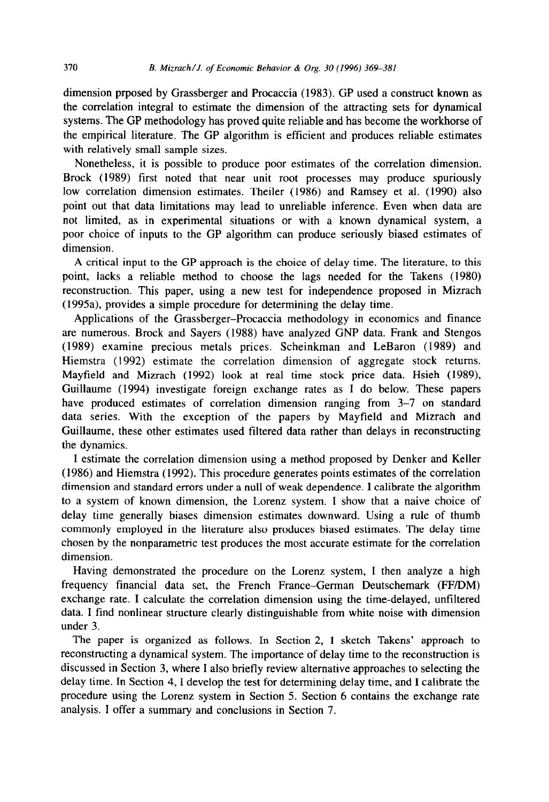dimension prposed by Grassberger and Procaccia (1983). GP used a construct known as the correlation integral to estimate the dimension of the attracting sets for dynamical systems. The GP methodology has proved quite reliable and has become the workhorse of the empirical literature. The GP algorithm is efficient and produces reliable estimates with relatively small sample sizes.

Nonetheless, it is possible to produce poor estimates of the correlation dimension. Brock (1989) first noted that near unit root processes may produce spuriously low correlation dimension estimates. Theiler (1986) and Ramsey et al. (1990) also point out that data limitations may lead to unreliable inference. Even when data are not limited, as in experimental situations or with a known dynamical system, a poor choice of inputs to the GP algorithm can produce seriously biased estimates of dimension.

A critical input to the GP approach is the choice of delay time. The literature, to this point, lacks a reliable method to choose the lags needed for the Takens (1980) reconstruction. This paper, using a new test for independence proposed in Mizrach (1995a), provides a simple procedure for determining the delay time.

Applications of the Grassberger-Procaccia methodology in economics and finance are numerous. Brock and Sayers (1988) have analyzed GNP data. Frank and Stengos (1989) examine precious metals prices. Scheinkman and LeBaron (1989) and Hiemstra (1992) estimate the correlation dimension of aggregate stock returns. Mayfield and Mizrach (1992) look at real time stock price data. Hsieh (1989), Guillaume (1994) investigate foreign exchange rates as I do below. These papers have produced estimates of correlation dimension ranging from 3-7 on standard data series. With the exception of the papers by Mayfield and Mizrach and Guillaume, these other estimates used filtered data rather than delays in reconstructing the dynamics.

I estimate the correlation dimension using a method proposed by Denker and Keller (1986) and Hiemstra (1992). This procedure generates points estimates of the correlation dimension and standard errors under a null of weak dependence. I calibrate the algorithm to a system of known dimension, the Lorenz system. I show that a naive choice of delay time generally biases dimension estimates downward. Using a rule of thumb commonly employed in the literature also produces biased estimates. The delay time chosen by the nonparametric test produces the most accurate estimate for the correlation dimension.

Having demonstrated the procedure on the Lorenz system, I then analyze a high frequency financial data set, the French France-German Deutschemark (FF/DM) exchange rate. I calculate the correlation dimension using the time-delayed, unfiltered data. I find nonlinear structure clearly distinguishable from white noise with dimension under 3.

The paper is organized as follows. In Section 2, I sketch Takens' approach to reconstructing a dynamical system. The importance of delay time to the reconstruction is discussed in Section 3, where I also briefly review alternative approaches to selecting the delay time. In Section 4, I develop the test for determining delay time, and I calibrate the procedure using the Lorenz system in Section 5. Section 6 contains the exchange rate analysis. I offer a summary and conclusions in Section 7.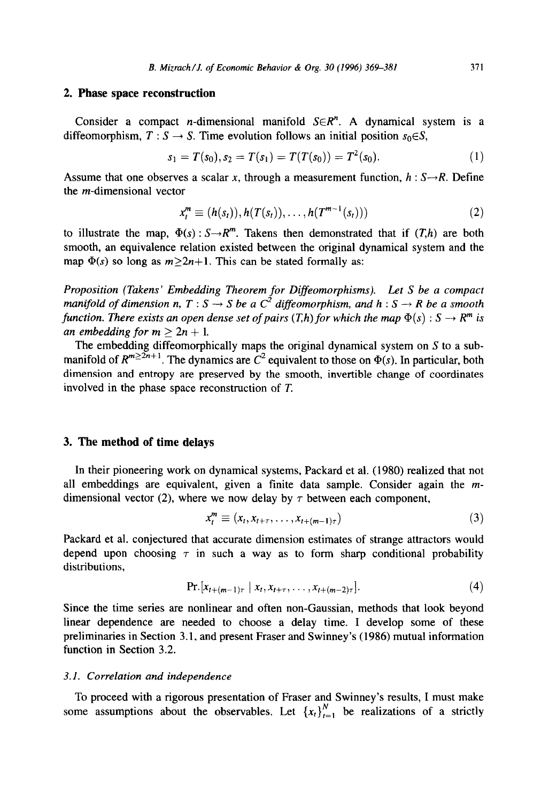# **2. Phase space reconstruction**

Consider a compact *n*-dimensional manifold  $S \in \mathbb{R}^n$ . A dynamical system is a diffeomorphism,  $T : S \rightarrow S$ . Time evolution follows an initial position  $s_0 \in S$ ,

$$
s_1 = T(s_0), s_2 = T(s_1) = T(T(s_0)) = T^2(s_0).
$$
 (1)

Assume that one observes a scalar x, through a measurement function,  $h : S \rightarrow R$ . Define the m-dimensional vector

$$
x_t^m \equiv (h(s_t)), h(T(s_t)), \ldots, h(T^{m-1}(s_t)))
$$
 (2)

to illustrate the map,  $\Phi(s)$ :  $S \rightarrow R^m$ . Takens then demonstrated that if  $(T,h)$  are both smooth, an equivalence relation existed between the original dynamical system and the map  $\Phi(s)$  so long as  $m \ge 2n+1$ . This can be stated formally as:

*Proposition (Takens' Embedding Theorem for Diffeomorphisms). Let S be a compact manifold of dimension n, T* :  $S \rightarrow S$  *be a*  $C^2$  *diffeomorphism, and h* :  $S \rightarrow R$  *be a smooth function. There exists an open dense set of pairs*  $(T,h)$  *for which the map*  $\Phi(s) : S \to R^m$  is *an embedding for*  $m \ge 2n + 1$ *.* 

The embedding diffeomorphically maps the original dynamical system on  $S$  to a submanifold of  $R^{m\geq 2n+1}$ . The dynamics are  $C^2$  equivalent to those on  $\Phi(s)$ . In particular, both dimension and entropy are preserved by the smooth, invertible change of coordinates involved in the phase space reconstruction of *T.* 

#### **3. The method of time delays**

In their pioneering work on dynamical systems, Packard et al. (1980) realized that not all embeddings are equivalent, given a finite data sample. Consider again the *m*dimensional vector (2), where we now delay by  $\tau$  between each component,

$$
x_t^m \equiv (x_t, x_{t+\tau}, \dots, x_{t+(m-1)\tau}) \tag{3}
$$

Packard et al. conjectured that accurate dimension estimates of strange attractors would depend upon choosing  $\tau$  in such a way as to form sharp conditional probability distributions,

$$
\Pr [x_{t+(m-1)\tau} \mid x_t, x_{t+\tau}, \dots, x_{t+(m-2)\tau}]. \tag{4}
$$

Since the time series are nonlinear and often non-Gaussian, methods that look beyond linear dependence are needed to choose a delay time. I develop some of these preliminaries in Section 3.1, and present Fraser and Swinney's (1986) mutual information function in Section 3.2.

#### 3.1. *Correlation and independence*

To proceed with a rigorous presentation of Fraser and Swinney's results, I must make some assumptions about the observables. Let  ${x_t}_{t=1}^N$  be realizations of a strictly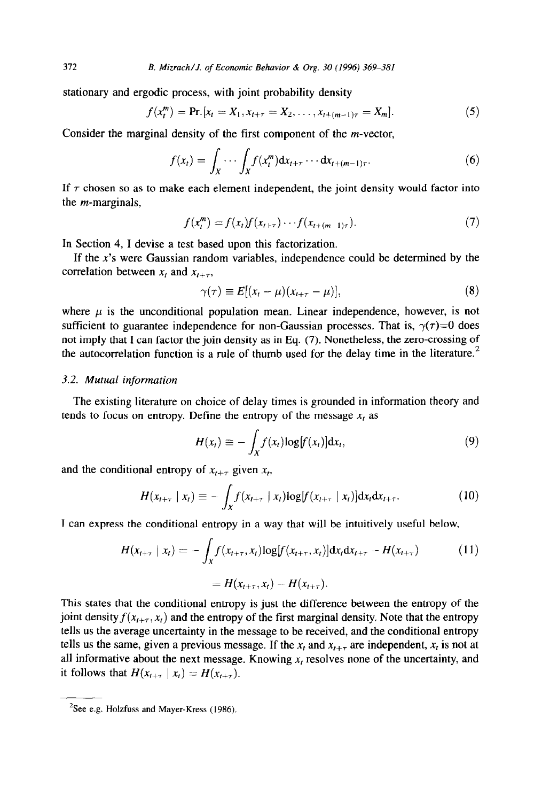stationary and ergodic process, with joint probability density

$$
f(x_t^m) = \Pr [x_t = X_1, x_{t+\tau} = X_2, \dots, x_{t+(m-1)\tau} = X_m].
$$
\n(5)

Consider the marginal density of the first component of the m-vector,

$$
f(x_t) = \int_X \cdots \int_X f(x_t^m) \mathrm{d}x_{t+\tau} \cdots \mathrm{d}x_{t+(m-1)\tau}.
$$
 (6)

If  $\tau$  chosen so as to make each element independent, the joint density would factor into the m-marginals,

$$
f(x_t^m) = f(x_t)f(x_{t+\tau}) \cdots f(x_{t+(m-1)\tau}). \tag{7}
$$

In Section 4, I devise a test based upon this factorization.

If the  $x$ 's were Gaussian random variables, independence could be determined by the correlation between  $x_t$  and  $x_{t+\tau}$ ,

$$
\gamma(\tau) \equiv E[(x_t - \mu)(x_{t+\tau} - \mu)], \qquad (8)
$$

where  $\mu$  is the unconditional population mean. Linear independence, however, is not sufficient to guarantee independence for non-Gaussian processes. That is,  $\gamma(\tau)=0$  does not imply that I can factor the join density as in Eq. (7). Nonetheless, the zero-crossing of the autocorrelation function is a rule of thumb used for the delay time in the literature.<sup>2</sup>

#### 3.2. *Mutual information*

The existing literature on choice of delay times is grounded in information theory and tends to focus on entropy. Define the entropy of the message  $x_t$  as

$$
H(x_t) \equiv -\int_X f(x_t) \log[f(x_t)] \mathrm{d}x_t, \tag{9}
$$

and the conditional entropy of  $x_{t+\tau}$  given  $x_t$ ,

$$
H(x_{t+\tau} \mid x_t) \equiv -\int_X f(x_{t+\tau} \mid x_t) \log[f(x_{t+\tau} \mid x_t)] \mathrm{d}x_t \mathrm{d}x_{t+\tau}.\tag{10}
$$

I can express the conditional entropy in a way that will be intuitively useful below,

$$
H(x_{t+\tau} \mid x_t) = -\int_X f(x_{t+\tau}, x_t) \log[f(x_{t+\tau}, x_t)] dx_t dx_{t+\tau} - H(x_{t+\tau})
$$
(11)  
=  $H(x_{t+\tau}, x_t) - H(x_{t+\tau}).$ 

This states that the conditional entropy is just the difference between the entropy of the joint density  $f(x_{t+\tau}, x_t)$  and the entropy of the first marginal density. Note that the entropy tells us the average uncertainty in the message to be received, and the conditional entropy tells us the same, given a previous message. If the  $x_t$  and  $x_{t+\tau}$  are independent,  $x_t$  is not at all informative about the next message. Knowing  $x<sub>i</sub>$  resolves none of the uncertainty, and it follows that  $H(x_{t+\tau} | x_t) = H(x_{t+\tau}).$ 

 $2$ See e.g. Holzfuss and Mayer-Kress (1986).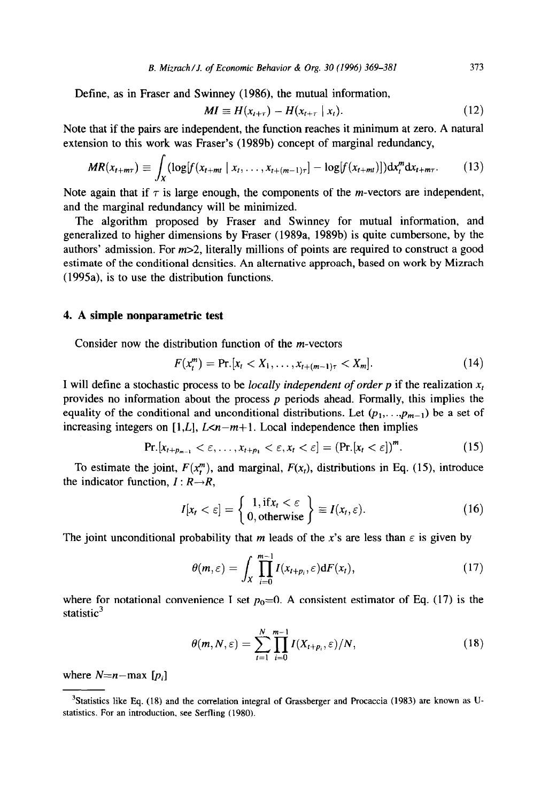Define, as in Fraser and Swinney (1986), the mutual information,

$$
MI \equiv H(x_{t+\tau}) - H(x_{t+\tau} \mid x_t). \tag{12}
$$

Note that if the pairs are independent, the function reaches it minimum at zero. A natural extension to this work was Fraser's (1989b) concept of marginal redundancy,

$$
MR(x_{t+m\tau}) \equiv \int_X (\log[f(x_{t+m\tau} \mid x_t, \dots, x_{t+(m-1)\tau}] - \log[f(x_{t+m\tau})]) dx_t^m dx_{t+m\tau}.
$$
 (13)

Note again that if  $\tau$  is large enough, the components of the *m*-vectors are independent, and the marginal redundancy will be minimized.

The algorithm proposed by Fraser and Swinney for mutual information, and generalized to higher dimensions by Fraser (1989a, 1989b) is quite cumbersone, by the authors' admission. For  $m>2$ , literally millions of points are required to construct a good estimate of the conditional densities. An alternative approach, based on work by Mizrach (1995a), is to use the distribution functions.

## 4. **A simple nonparametric test**

Consider now the distribution function of the m-vectors

$$
F(x_t^m) = \Pr [x_t < X_1, \dots, x_{t+(m-1)\tau} < X_m]. \tag{14}
$$

I will define a stochastic process to be *locally independent of order p* if the realization  $x_t$ provides no information about the process *p* periods ahead. Formally, this implies the equality of the conditional and unconditional distributions. Let  $(p_1, \ldots, p_{m-1})$  be a set of increasing integers on [1,*L*],  $L < n-m+1$ . Local independence then implies

$$
\Pr[x_{t+p_{m-1}} < \varepsilon, \dots, x_{t+p_1} < \varepsilon, x_t < \varepsilon] = (\Pr[x_t < \varepsilon])^m. \tag{15}
$$

To estimate the joint,  $F(x_i^m)$ , and marginal,  $F(x_i)$ , distributions in Eq. (15), introduce the indicator function,  $I: R \rightarrow R$ ,

$$
I[x_t < \varepsilon] = \begin{cases} 1, \text{if } x_t < \varepsilon \\ 0, \text{otherwise} \end{cases} \equiv I(x_t, \varepsilon). \tag{16}
$$

The joint unconditional probability that *m* leads of the x's are less than  $\varepsilon$  is given by

$$
\theta(m,\varepsilon)=\int_X\prod_{i=0}^{m-1}I(x_{t+p_i},\varepsilon)\mathrm{d}F(x_t),\qquad(17)
$$

where for notational convenience I set  $p_0=0$ . A consistent estimator of Eq. (17) is the statistic $3$ 

$$
\theta(m,N,\varepsilon)=\sum_{t=1}^N\prod_{i=0}^{m-1}I(X_{t+p_i},\varepsilon)/N,\qquad(18)
$$

where  $N=n-max [p_i]$ 

<sup>&#</sup>x27;Statistics like Eq. (18) and the correlation integral of Grassberger and Procaccia (1983) are known as Ustatistics. For an introduction, see Seffling (1980).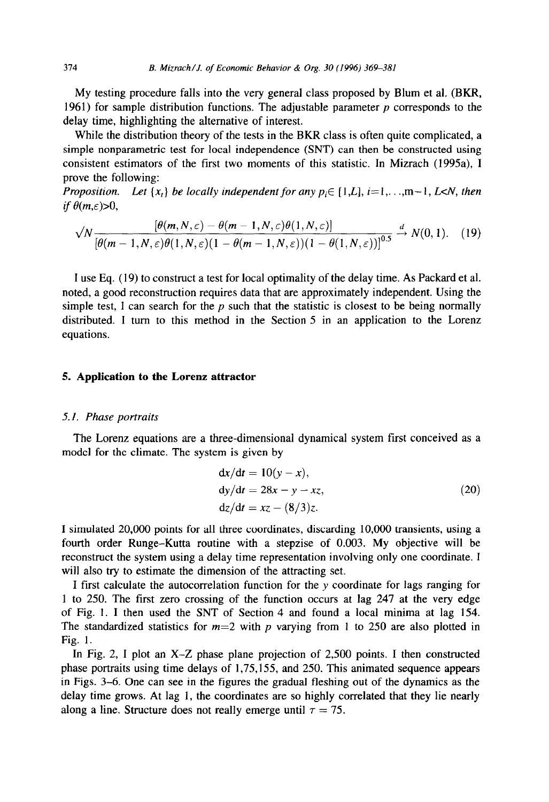My testing procedure falls into the very general class proposed by Blum et al. (BKR, 1961) for sample distribution functions. The adjustable parameter  $p$  corresponds to the delay time, highlighting the alternative of interest.

While the distribution theory of the tests in the BKR class is often quite complicated, a simple nonparametric test for local independence (SNT) can then be constructed using consistent estimators of the first two moments of this statistic. In Mizrach (1995a), I prove the following:

*Proposition.* Let  $\{x_i\}$  be locally independent for any  $p_i \in \{1, L\}$ ,  $i=1, \ldots, m-1$ , L<N, then *if*  $\theta(m,\varepsilon) > 0$ ,

$$
\sqrt{N}\frac{\left[\theta(m,N,\varepsilon)-\theta(m-1,N,\varepsilon)\theta(1,N,\varepsilon)\right]}{\left[\theta(m-1,N,\varepsilon)\theta(1,N,\varepsilon)(1-\theta(m-1,N,\varepsilon))(1-\theta(1,N,\varepsilon))\right]^{0.5}}\stackrel{d}{\to}N(0,1). \quad (19)
$$

I use Eq. (19) to construct a test for local optimality of the delay time. As Packard et al. noted, a good reconstruction requires data that are approximately independent. Using the simple test, I can search for the  $p$  such that the statistic is closest to be being normally distributed. I turn to this method in the Section 5 in an application to the Lorenz equations.

## **5. Application to the Lorenz attractor**

#### *5.1. Phase portraits*

The Lorenz equations are a three-dimensional dynamical system first conceived as a model for the climate. The system is given by

$$
dx/dt = 10(y - x),\n dy/dt = 28x - y - xz,\n dz/dt = xz - (8/3)z.
$$
\n(20)

I simulated 20,000 points for all three coordinates, discarding 10,000 transients, using a fourth order Runge-Kutta routine with a stepzise of 0.003. My objective will be reconstruct the system using a delay time representation involving only one coordinate. I will also try to estimate the dimension of the attracting set.

I first calculate the autocorrelation function for the y coordinate for lags ranging for 1 to 250. The first zero crossing of the function occurs at lag **247** at the very edge of Fig. 1. I then used the SNT of Section 4 and found a local minima at lag 154. The standardized statistics for  $m=2$  with p varying from 1 to 250 are also plotted in Fig. 1.

In Fig. 2, I plot an X-Z phase plane projection of 2,500 points. I then constructed phase portraits using time delays of 1,75,155, and 250. This animated sequence appears in Figs. 3-6. One can see in the figures the gradual fleshing out of the dynamics as the delay time grows. At lag 1, the coordinates are so highly correlated that they lie nearly along a line. Structure does not really emerge until  $\tau = 75$ .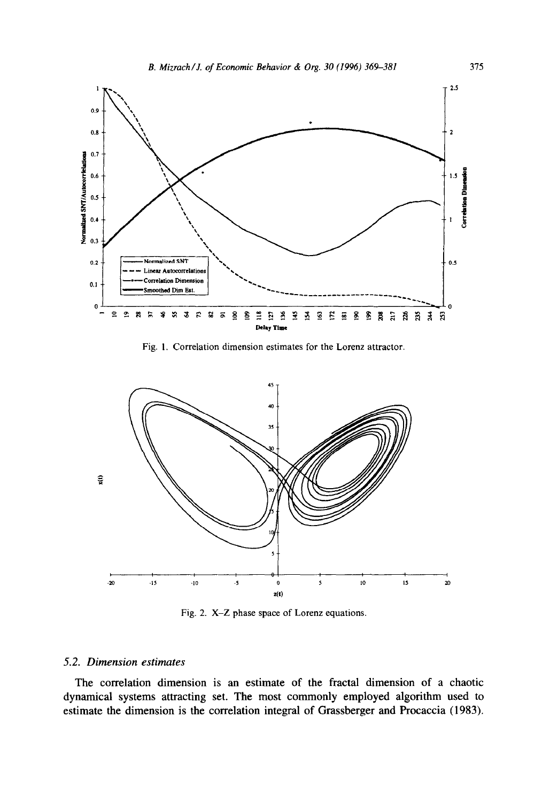

Fig. 1. Correlation dimension estimates for the Lorenz attractor.



Fig. 2. X-Z phase space of Lorenz equations.

## *5.2. Dimension estimates*

*The* correlation dimension is an estimate of the fractal dimension of a chaotic dynamical systems attracting set. The most commonly employed algorithm used to estimate the dimension is the correlation integral of Grassberger and Procaccia (1983).

375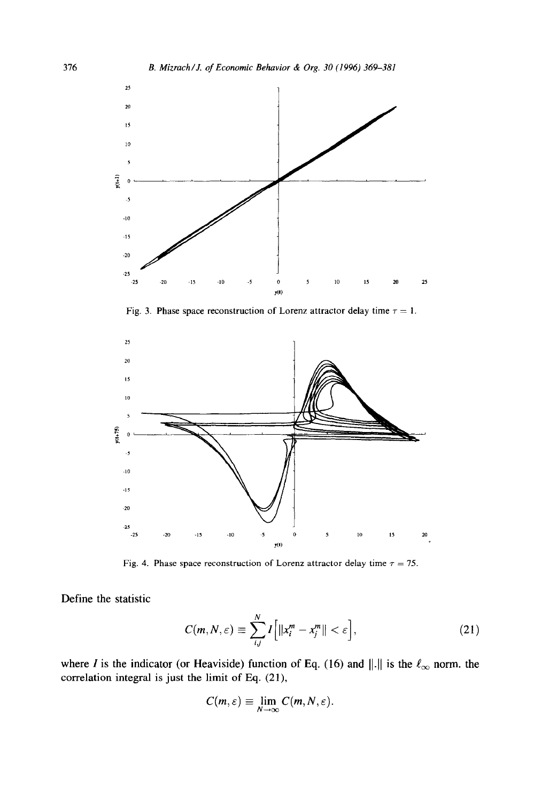

Fig. 3. Phase space reconstruction of Lorenz attractor delay time  $\tau = 1$ .



Fig. 4. Phase space reconstruction of Lorenz attractor delay time  $\tau = 75$ .

Define the statistic

$$
C(m, N, \varepsilon) \equiv \sum_{i,j}^{N} I\Big[||x_i^m - x_j^m|| < \varepsilon\Big],\tag{21}
$$

where I is the indicator (or Heaviside) function of Eq. (16) and  $\|\cdot\|$  is the  $\ell_{\infty}$  norm. the correlation integral is just the limit of Eq. (21),

$$
C(m,\varepsilon)\equiv \lim_{N\to\infty}C(m,N,\varepsilon).
$$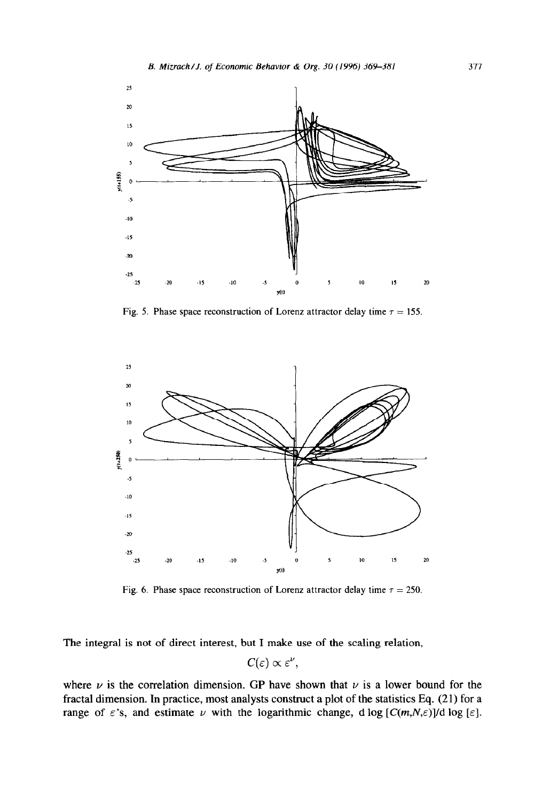

Fig. 5. Phase space reconstruction of Lorenz attractor delay time  $\tau = 155$ .



Fig. 6. Phase space reconstruction of Lorenz attractor delay time  $\tau = 250$ .

The integral is not of direct interest, but I make use of the scaling relation,

$$
C(\varepsilon) \propto \varepsilon^{\nu},
$$

where  $\nu$  is the correlation dimension. GP have shown that  $\nu$  is a lower bound for the fractal dimension. In practice, most analysts construct a plot of the statistics Eq. (21) for a range of  $\varepsilon$ 's, and estimate  $\nu$  with the logarithmic change, d log  $[C(m,N,\varepsilon)]/d \log [\varepsilon]$ .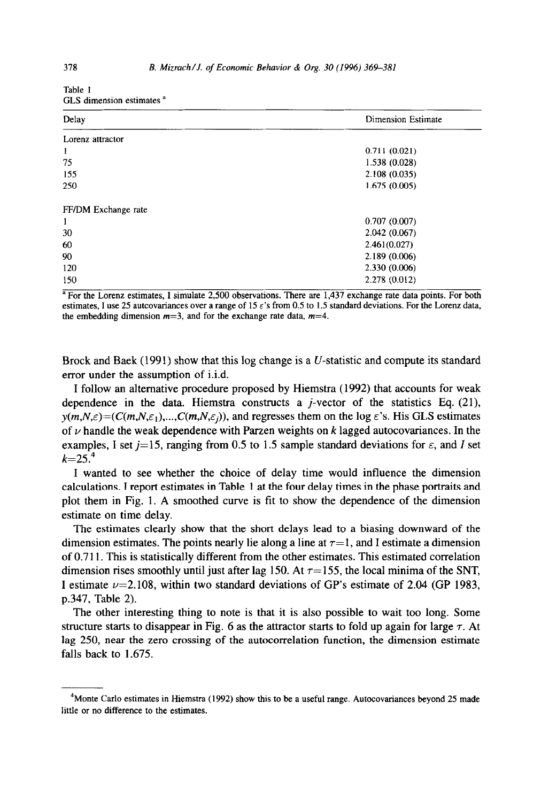| Delay               | Dimension Estimate |
|---------------------|--------------------|
| Lorenz attractor    |                    |
| 1                   | 0.711(0.021)       |
| 75                  | 1.538 (0.028)      |
| 155                 | 2.108(0.035)       |
| 250                 | 1.675(0.005)       |
| FF/DM Exchange rate |                    |
| 1                   | 0.707(0.007)       |
| 30                  | 2.042(0.067)       |
| 60                  | 2.461(0.027)       |
| 90                  | 2.189(0.006)       |
| 120                 | 2.330(0.006)       |
| 150                 | 2.278 (0.012)      |

Table 1 GLS dimension estimates <sup>a</sup>

<sup>a</sup> For the Lorenz estimates, I simulate 2,500 observations. There are 1,437 exchange rate data points. For both estimates, I use 25 autcovariances over a range of 15  $\varepsilon$ 's from 0.5 to 1.5 standard deviations. For the Lorenz data, the embedding dimension  $m=3$ , and for the exchange rate data,  $m=4$ .

Brock and Baek  $(1991)$  show that this log change is a U-statistic and compute its standard error under the assumption of i.i.d.

I follow an alternative procedure proposed by Hiemstra (1992) that accounts for weak dependence in the data. Hiemstra constructs a *j*-vector of the statistics Eq.  $(21)$ ,  $y(m,N,\varepsilon)=(C(m,N,\varepsilon_1),...,C(m,N,\varepsilon_i))$ , and regresses them on the log  $\varepsilon$ 's. His GLS estimates of  $\nu$  handle the weak dependence with Parzen weights on  $k$  lagged autocovariances. In the examples, I set  $j=15$ , ranging from 0.5 to 1.5 sample standard deviations for  $\varepsilon$ , and I set  $k=25^{4}$ 

I wanted to see whether the choice of delay time would influence the dimension calculations. I report estimates in Table 1 at the four delay times in the phase portraits and plot them in Fig. 1. A smoothed curve is fit to show the dependence of the dimension estimate on time delay.

The estimates clearly show that the short delays lead to a biasing downward of the dimension estimates. The points nearly lie along a line at  $\tau=1$ , and I estimate a dimension of 0.7 11. This is statistically different from the other estimates. This estimated correlation dimension rises smoothly until just after lag 150. At  $\tau = 155$ , the local minima of the SNT, I estimate  $\nu$ =2.108, within two standard deviations of GP's estimate of 2.04 (GP 1983, p.347, Table 2).

The other interesting thing to note is that it is also possible to wait too long. Some structure starts to disappear in Fig. 6 as the attractor starts to fold up again for large  $\tau$ . At lag 250, near the zero crossing of the autocorrelation function, the dimension estimate falls back to 1.675.

 $4$ Monte Carlo estimates in Hiemstra (1992) show this to be a useful range. Autocovariances beyond 25 made little or no difference to the estimates.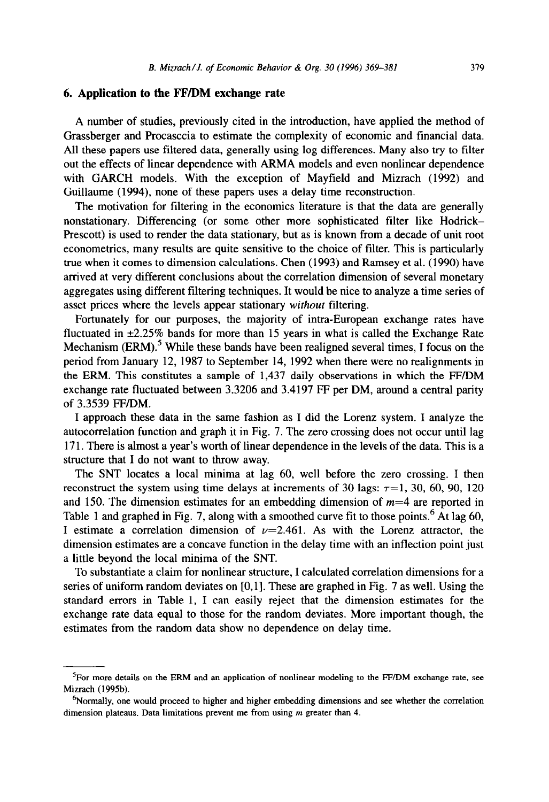#### **6. Application to the FF/DM exchange rate**

A number of studies, previously cited in the introduction, have applied the method of Grassberger and Procasccia to estimate the complexity of economic and financial data. All these papers use filtered data, generally using log differences. Many also try to filter out the effects of linear dependence with ARMA models and even nonlinear dependence with GARCH models. With the exception of Mayfield and Mizrach (1992) and Guillaume (1994), none of these papers uses a delay time reconstruction.

The motivation for filtering in the economics literature is that the data are generally nonstationary. Differencing (or some other more sophisticated filter like Hodrick-Prescott) is used to render the data stationary, but as is known from a decade of unit root econometrics, many results are quite sensitive to the choice of filter. This is particularly true when it comes to dimension calculations. Chen (1993) and Ramsey et al. (1990) have arrived at very different conclusions about the correlation dimension of several monetary aggregates using different filtering techniques. It would be nice to analyze a time series of asset prices where the levels appear stationary without filtering.

Fortunately for our purposes, the majority of intra-European exchange rates have fluctuated in  $\pm 2.25\%$  bands for more than 15 years in what is called the Exchange Rate Mechanism  $\text{ERM}$ ).<sup>5</sup> While these bands have been realigned several times, I focus on the period from January 12, 1987 to September 14, 1992 when there were no realignments in the ERM. This constitutes a sample of 1,437 daily observations in which the FF/DM exchange rate fluctuated between 3.3206 and 3.4197 FF per DM, around a central parity of 3.3539 FF/DM.

I approach these data in the same fashion as I did the Lorenz system. I analyze the autocorrelation function and graph it in Fig. 7. The zero crossing does not occur until lag 17 1. There is almost a year's worth of linear dependence in the levels of the data. This is a structure that I do not want to throw away.

The SNT locates a local minima at lag 60, well before the zero crossing. I then reconstruct the system using time delays at increments of 30 lags:  $\tau = 1$ , 30, 60, 90, 120 and 150. The dimension estimates for an embedding dimension of *m=4 are* reported in Table 1 and graphed in Fig. 7, along with a smoothed curve fit to those points.<sup>6</sup> At lag 60, I estimate a correlation dimension of  $\nu = 2.461$ . As with the Lorenz attractor, the dimension estimates are a concave function in the delay time with an inflection point just a little beyond the local minima of the SNT.

To substantiate a claim for nonlinear structure, I calculated correlation dimensions for a series of uniform random deviates on [O,l]. These are graphed in Fig. 7 as well. Using the standard errors in Table 1, I can easily reject that the dimension estimates for the exchange rate data equal to those for the random deviates. More important though, the estimates from the random data show no dependence on delay time.

 ${}^{5}$ For more details on the ERM and an application of nonlinear modeling to the FF/DM exchange rate, see Mizrach (1995b).

<sup>&</sup>lt;sup>6</sup>Normally, one would proceed to higher and higher embedding dimensions and see whether the correlation dimension plateaus. Data limitations prevent me from using m greater than 4.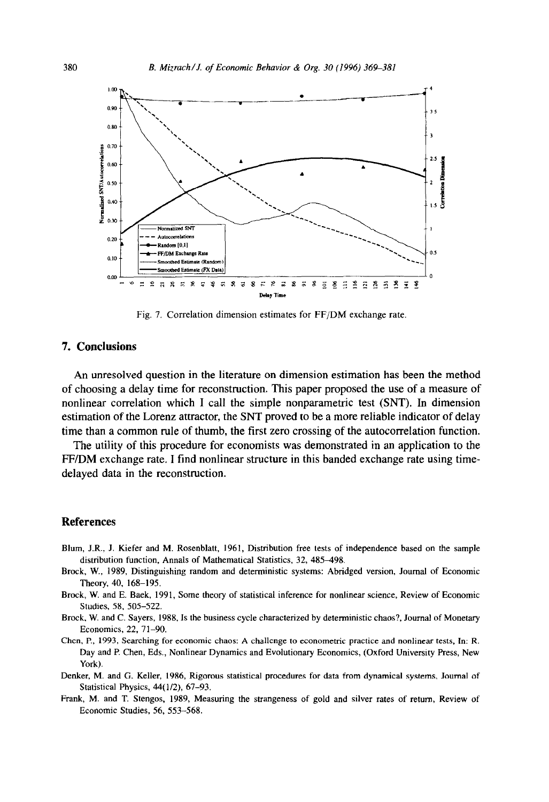

Fig. 7. Correlation dimension estimates for FF/DM exchange rate.

# **7. Conclusions**

An unresolved question in the literature on dimension estimation has been the method of choosing a delay time for reconstruction. This paper proposed the use of a measure of nonlinear correlation which I call the simple nonparametric test (SNT). In dimension estimation of the Lorenz attractor, the SNT proved to be a more reliable indicator of delay time than a common rule of thumb, the first zero crossing of the autocorrelation function.

The utility of this procedure for economists was demonstrated in an application to the FF/DM exchange rate. I find nonlinear structure in this banded exchange rate using timedelayed data in the reconstruction.

## **References**

- Blum, J.R., J. Kiefer and M. Rosenblatt, 1961, Distribution free tests of independence based on the sample distribution function, Annals of Mathematical Statistics, 32, 485-498.
- Brock, W., 1989, Distinguishing random and deterministic systems: Abridged version, Journal of Economic Theory, 40, 168-195.
- Brock, W. and E. Baek, 1991, Some theory of statistical inference for nonlinear science, Review of Economic Studies, 58, 505-522.
- Brock, W. and C. Sayers, 1988, Is the business cycle characterized by deterministic chaos?, Journal of Monetary Economics, 22, 71-90.
- Chen, P., 1993, Searching for economic chaos: A challenge to econometric practice and nonlinear tests, In: R. Day and P. Chen, Eds., Nonlinear Dynamics and Evolutionary Economics, (Oxford University Press, New York).
- Denker, M. and G. Keller, 1986, Rigorous statistical procedures for data from dynamical systems, Journal of Statistical Physics, 44( l/2), 67-93.
- Frank, M. and T. Stengos, 1989, Measuring the strangeness of gold and silver rates of return, Review of Economic Studies, 56, 553-568.